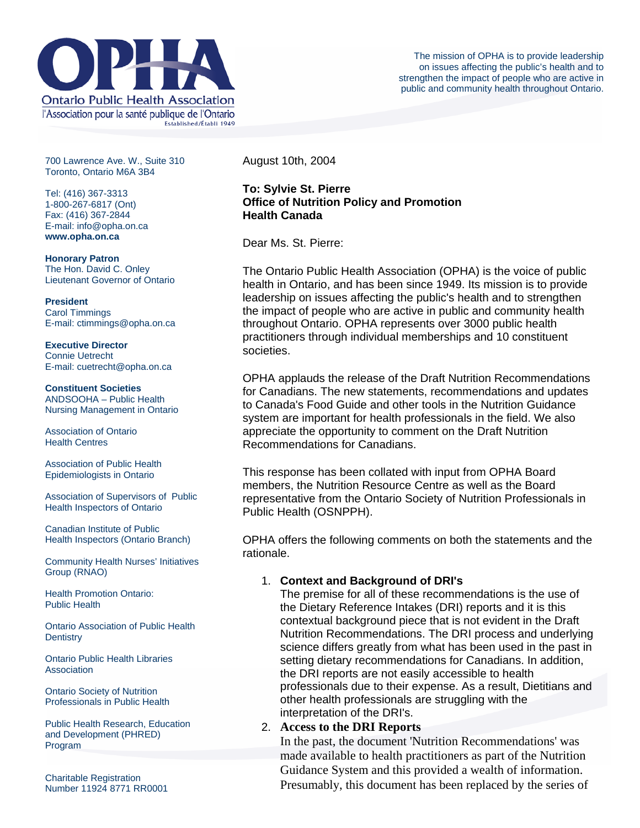

700 Lawrence Ave. W., Suite 310 Toronto, Ontario M6A 3B4

Tel: (416) 367-3313 1-800-267-6817 (Ont) Fax: (416) 367-2844 E-mail: info@opha.on.ca **www.opha.on.ca** 

**Honorary Patron**  The Hon. David C. Onley Lieutenant Governor of Ontario

**President**  Carol Timmings E-mail: ctimmings@opha.on.ca

**Executive Director**  Connie Uetrecht E-mail: cuetrecht@opha.on.ca

**Constituent Societies**  ANDSOOHA – Public Health Nursing Management in Ontario

Association of Ontario Health Centres

Association of Public Health Epidemiologists in Ontario

Association of Supervisors of Public Health Inspectors of Ontario

Canadian Institute of Public Health Inspectors (Ontario Branch)

Community Health Nurses' Initiatives Group (RNAO)

Health Promotion Ontario: Public Health

Ontario Association of Public Health **Dentistry** 

Ontario Public Health Libraries **Association** 

Ontario Society of Nutrition Professionals in Public Health

Public Health Research, Education and Development (PHRED) Program

Charitable Registration Number 11924 8771 RR0001 August 10th, 2004

## **To: Sylvie St. Pierre Office of Nutrition Policy and Promotion Health Canada**

Dear Ms. St. Pierre:

The Ontario Public Health Association (OPHA) is the voice of public health in Ontario, and has been since 1949. Its mission is to provide leadership on issues affecting the public's health and to strengthen the impact of people who are active in public and community health throughout Ontario. OPHA represents over 3000 public health practitioners through individual memberships and 10 constituent societies.

OPHA applauds the release of the Draft Nutrition Recommendations for Canadians. The new statements, recommendations and updates to Canada's Food Guide and other tools in the Nutrition Guidance system are important for health professionals in the field. We also appreciate the opportunity to comment on the Draft Nutrition Recommendations for Canadians.

This response has been collated with input from OPHA Board members, the Nutrition Resource Centre as well as the Board representative from the Ontario Society of Nutrition Professionals in Public Health (OSNPPH).

OPHA offers the following comments on both the statements and the rationale.

## 1. **Context and Background of DRI's**

The premise for all of these recommendations is the use of the Dietary Reference Intakes (DRI) reports and it is this contextual background piece that is not evident in the Draft Nutrition Recommendations. The DRI process and underlying science differs greatly from what has been used in the past in setting dietary recommendations for Canadians. In addition, the DRI reports are not easily accessible to health professionals due to their expense. As a result, Dietitians and other health professionals are struggling with the interpretation of the DRI's.

# 2. **Access to the DRI Reports**

In the past, the document 'Nutrition Recommendations' was made available to health practitioners as part of the Nutrition Guidance System and this provided a wealth of information. Presumably, this document has been replaced by the series of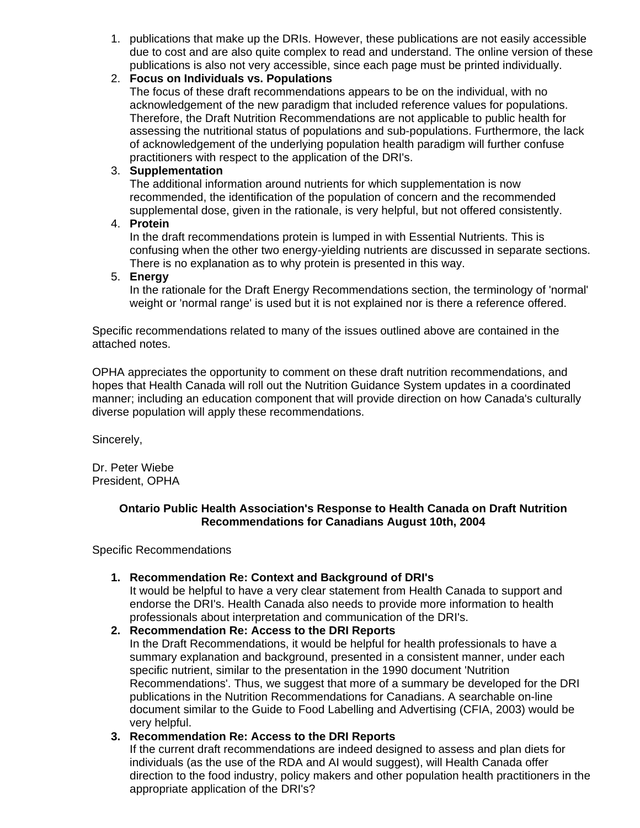1. publications that make up the DRIs. However, these publications are not easily accessible due to cost and are also quite complex to read and understand. The online version of these publications is also not very accessible, since each page must be printed individually.

## 2. **Focus on Individuals vs. Populations**

The focus of these draft recommendations appears to be on the individual, with no acknowledgement of the new paradigm that included reference values for populations. Therefore, the Draft Nutrition Recommendations are not applicable to public health for assessing the nutritional status of populations and sub-populations. Furthermore, the lack of acknowledgement of the underlying population health paradigm will further confuse practitioners with respect to the application of the DRI's.

# 3. **Supplementation**

The additional information around nutrients for which supplementation is now recommended, the identification of the population of concern and the recommended supplemental dose, given in the rationale, is very helpful, but not offered consistently.

#### 4. **Protein**

In the draft recommendations protein is lumped in with Essential Nutrients. This is confusing when the other two energy-yielding nutrients are discussed in separate sections. There is no explanation as to why protein is presented in this way.

# 5. **Energy**

In the rationale for the Draft Energy Recommendations section, the terminology of 'normal' weight or 'normal range' is used but it is not explained nor is there a reference offered.

Specific recommendations related to many of the issues outlined above are contained in the attached notes.

OPHA appreciates the opportunity to comment on these draft nutrition recommendations, and hopes that Health Canada will roll out the Nutrition Guidance System updates in a coordinated manner; including an education component that will provide direction on how Canada's culturally diverse population will apply these recommendations.

Sincerely,

Dr. Peter Wiebe President, OPHA

# **Ontario Public Health Association's Response to Health Canada on Draft Nutrition Recommendations for Canadians August 10th, 2004**

Specific Recommendations

## **1. Recommendation Re: Context and Background of DRI's**

It would be helpful to have a very clear statement from Health Canada to support and endorse the DRI's. Health Canada also needs to provide more information to health professionals about interpretation and communication of the DRI's.

## **2. Recommendation Re: Access to the DRI Reports**

In the Draft Recommendations, it would be helpful for health professionals to have a summary explanation and background, presented in a consistent manner, under each specific nutrient, similar to the presentation in the 1990 document 'Nutrition Recommendations'. Thus, we suggest that more of a summary be developed for the DRI publications in the Nutrition Recommendations for Canadians. A searchable on-line document similar to the Guide to Food Labelling and Advertising (CFIA, 2003) would be very helpful.

## **3. Recommendation Re: Access to the DRI Reports**

If the current draft recommendations are indeed designed to assess and plan diets for individuals (as the use of the RDA and AI would suggest), will Health Canada offer direction to the food industry, policy makers and other population health practitioners in the appropriate application of the DRI's?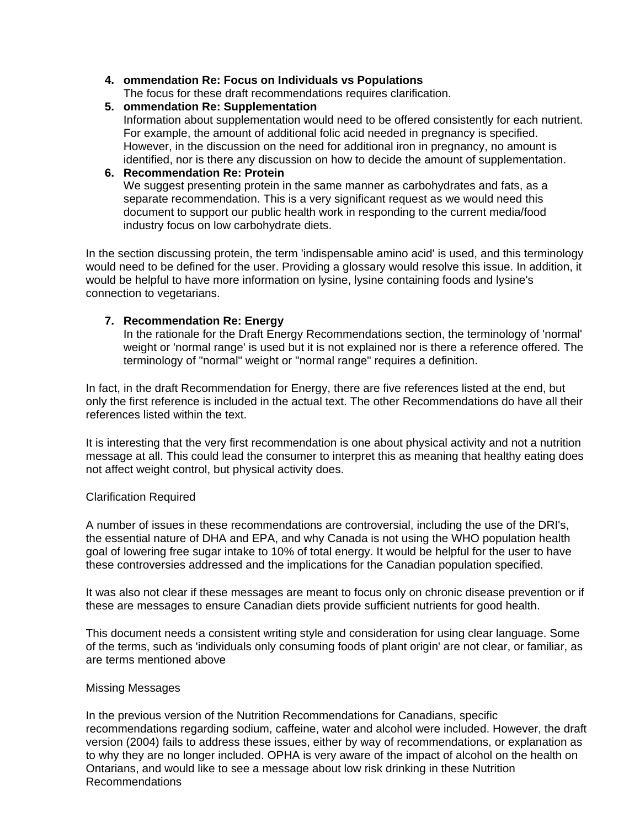## **4. ommendation Re: Focus on Individuals vs Populations**

The focus for these draft recommendations requires clarification.

#### **5. ommendation Re: Supplementation**

Information about supplementation would need to be offered consistently for each nutrient. For example, the amount of additional folic acid needed in pregnancy is specified. However, in the discussion on the need for additional iron in pregnancy, no amount is identified, nor is there any discussion on how to decide the amount of supplementation.

## **6. Recommendation Re: Protein**

We suggest presenting protein in the same manner as carbohydrates and fats, as a separate recommendation. This is a very significant request as we would need this document to support our public health work in responding to the current media/food industry focus on low carbohydrate diets.

In the section discussing protein, the term 'indispensable amino acid' is used, and this terminology would need to be defined for the user. Providing a glossary would resolve this issue. In addition, it would be helpful to have more information on lysine, lysine containing foods and lysine's connection to vegetarians.

## **7. Recommendation Re: Energy**

In the rationale for the Draft Energy Recommendations section, the terminology of 'normal' weight or 'normal range' is used but it is not explained nor is there a reference offered. The terminology of "normal" weight or "normal range" requires a definition.

In fact, in the draft Recommendation for Energy, there are five references listed at the end, but only the first reference is included in the actual text. The other Recommendations do have all their references listed within the text.

It is interesting that the very first recommendation is one about physical activity and not a nutrition message at all. This could lead the consumer to interpret this as meaning that healthy eating does not affect weight control, but physical activity does.

#### Clarification Required

A number of issues in these recommendations are controversial, including the use of the DRI's, the essential nature of DHA and EPA, and why Canada is not using the WHO population health goal of lowering free sugar intake to 10% of total energy. It would be helpful for the user to have these controversies addressed and the implications for the Canadian population specified.

It was also not clear if these messages are meant to focus only on chronic disease prevention or if these are messages to ensure Canadian diets provide sufficient nutrients for good health.

This document needs a consistent writing style and consideration for using clear language. Some of the terms, such as 'individuals only consuming foods of plant origin' are not clear, or familiar, as are terms mentioned above

#### Missing Messages

In the previous version of the Nutrition Recommendations for Canadians, specific recommendations regarding sodium, caffeine, water and alcohol were included. However, the draft version (2004) fails to address these issues, either by way of recommendations, or explanation as to why they are no longer included. OPHA is very aware of the impact of alcohol on the health on Ontarians, and would like to see a message about low risk drinking in these Nutrition Recommendations